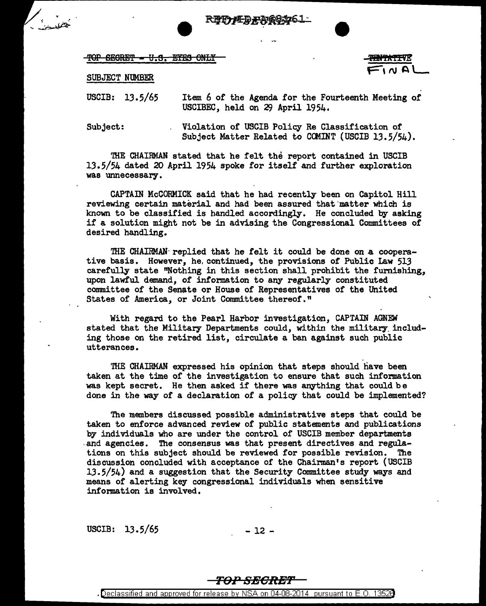**REGRET = U.S. EYES ONLY** 

**TENTATIVE**  $F'' \sim 2$ 

## SUBJECT NUMBER

USCIB: 13.5/65 Item 6 of the Agenda for the Fourteenth Meeting of USCIBEC, held on *2f)* April 1954.

Subject: Violation of USCIB Policy Re Classification of Subject Matter Related to COMINT (USCIB 13.5/54).

THE CHAIRMAN stated that he felt the report contained in USCIB 13.5/54 dated 20 April 1954 spoke for itself and further exploration was unnecessary.

CAPTAIN McCORMICK said that he had recently been on Capitol Hill reviewing certain material and had been assured that matter which is known to be classified is handled accordingly. He concluded by asking if a solution might not be in advising the Congressional Committees of desired handling.

THE CHAIRMAN $\cdot$  replied that he felt it could be done on a cooperative basis. However, he. continued, the provisions of Public Law 513 carefully state "Nothing in this section shall prohibit the furnishing, upon lawful demand, of information to any regularly constituted committee of the Senate or House of Representatives of the United States of America, or Joint Committee thereof."

With regard to the Pearl Harbor investigation, CAPTAIN AGNEW stated that the Military Departments could, within the military including those on the retired list, circulate a ban against such public utterances.

THE CHAIRMAN expressed his opinion that steps should have been taken at the time of the investigation to ensure that such information was kept secret. He then asked if there was anything that could be done in the way of a declaration of a policy that could be implemented?

The members discussed possible administrative steps that could be taken to enforce advanced review of public statements and publications by individuals who are under the control of USCIB member departments and agencies. The consensus was that present directives and regulations on this subject should be reviewed for possible revision. The discussion concluded with acceptance of the Chairman's report (USCIB 13.5/54) and a suggestion that the Security Committee study ways and means of alerting key congressional individuals when sensitive information is involved.

USCIB:  $13.5/65$  - 12 -

## TO>." **SECRB'l'**

<sup>•</sup> Declassified and approved for release by NSA on 04-08-2014 pursuant to E. 0. 1352B